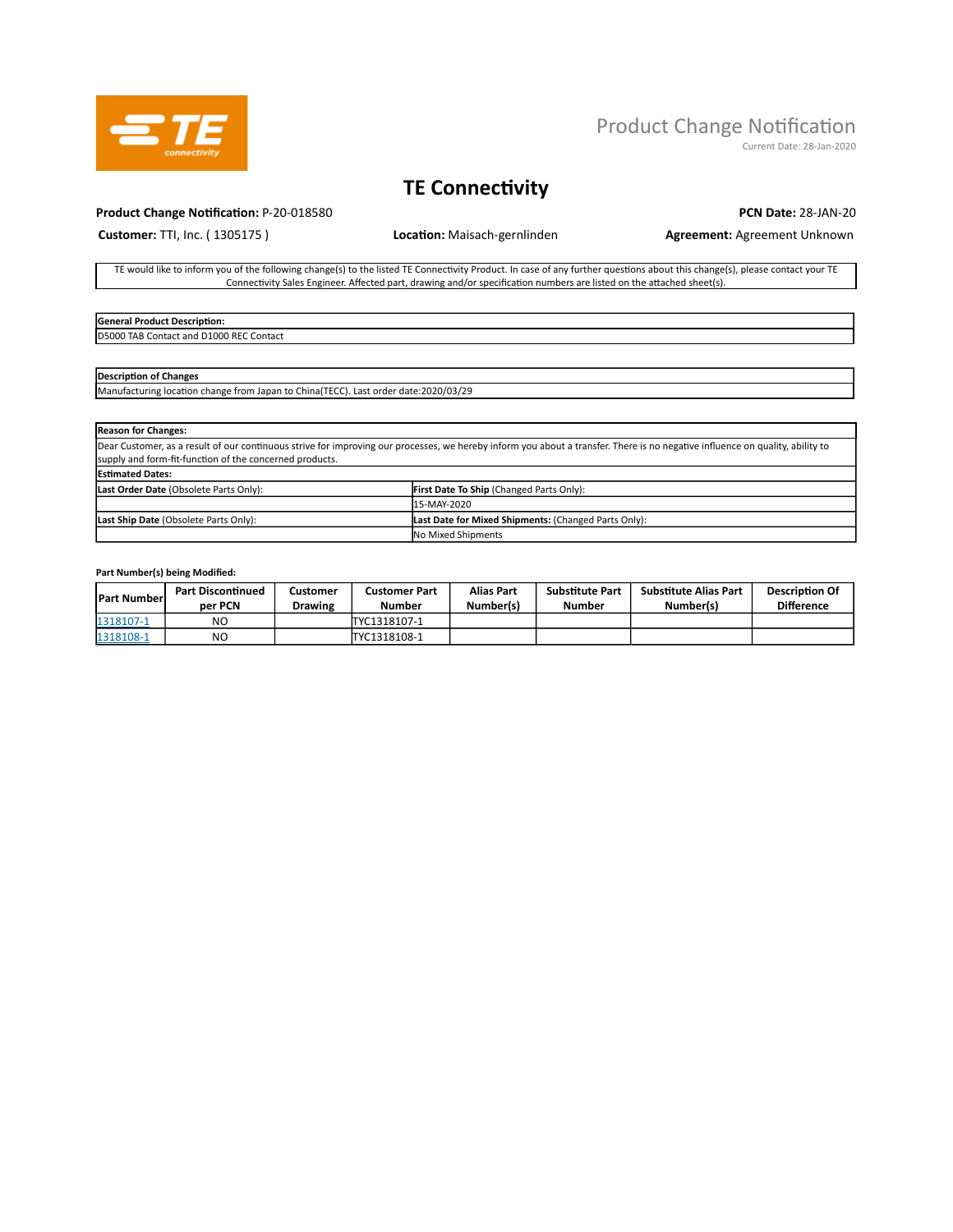

# Product Change Notification

Current Date: 28-Jan-2020

## TE Connectivity

#### Product Change Notification: P-20-018580 PCN Date: 28-JAN-20

Customer: TTI, Inc. (1305175) **Location:** Maisach-gernlinden **Agreement: Agreement: Agreement Unknown** 

TE would like to inform you of the following change(s) to the listed TE Connectivity Product. In case of any further questions about this change(s), please contact your TE Connectivity Sales Engineer. Affected part, drawing and/or specification numbers are listed on the attached sheet(s).

#### General Product Description: D5000 TAB Contact and D1000 REC Contact

## Description of Changes

Manufacturing location change from Japan to China(TECC). Last order date:2020/03/29

| <b>Reason for Changes:</b>                                                                                                                                                    |                                                      |  |  |  |  |
|-------------------------------------------------------------------------------------------------------------------------------------------------------------------------------|------------------------------------------------------|--|--|--|--|
| Dear Customer, as a result of our continuous strive for improving our processes, we hereby inform you about a transfer. There is no negative influence on quality, ability to |                                                      |  |  |  |  |
| supply and form-fit-function of the concerned products.                                                                                                                       |                                                      |  |  |  |  |
| <b>Estimated Dates:</b>                                                                                                                                                       |                                                      |  |  |  |  |
| Last Order Date (Obsolete Parts Only):<br>First Date To Ship (Changed Parts Only):                                                                                            |                                                      |  |  |  |  |
|                                                                                                                                                                               | 15-MAY-2020                                          |  |  |  |  |
| Last Ship Date (Obsolete Parts Only):                                                                                                                                         | Last Date for Mixed Shipments: (Changed Parts Only): |  |  |  |  |
|                                                                                                                                                                               | No Mixed Shipments                                   |  |  |  |  |

## Part Number(s) being Modified:

| <b>Part Number</b> | <b>Part Discontinued</b><br>per PCN | Customer<br>Drawing | Customer Part<br>Number | <b>Alias Part</b><br>Number(s) | <b>Substitute Part</b><br>Number | Substitute Alias Part<br>Number(s) | <b>Description Of</b><br><b>Difference</b> |
|--------------------|-------------------------------------|---------------------|-------------------------|--------------------------------|----------------------------------|------------------------------------|--------------------------------------------|
| 1318107-1          | NO                                  |                     | TYC1318107-1            |                                |                                  |                                    |                                            |
| 1318108-1          | NO                                  |                     | TYC1318108-1            |                                |                                  |                                    |                                            |